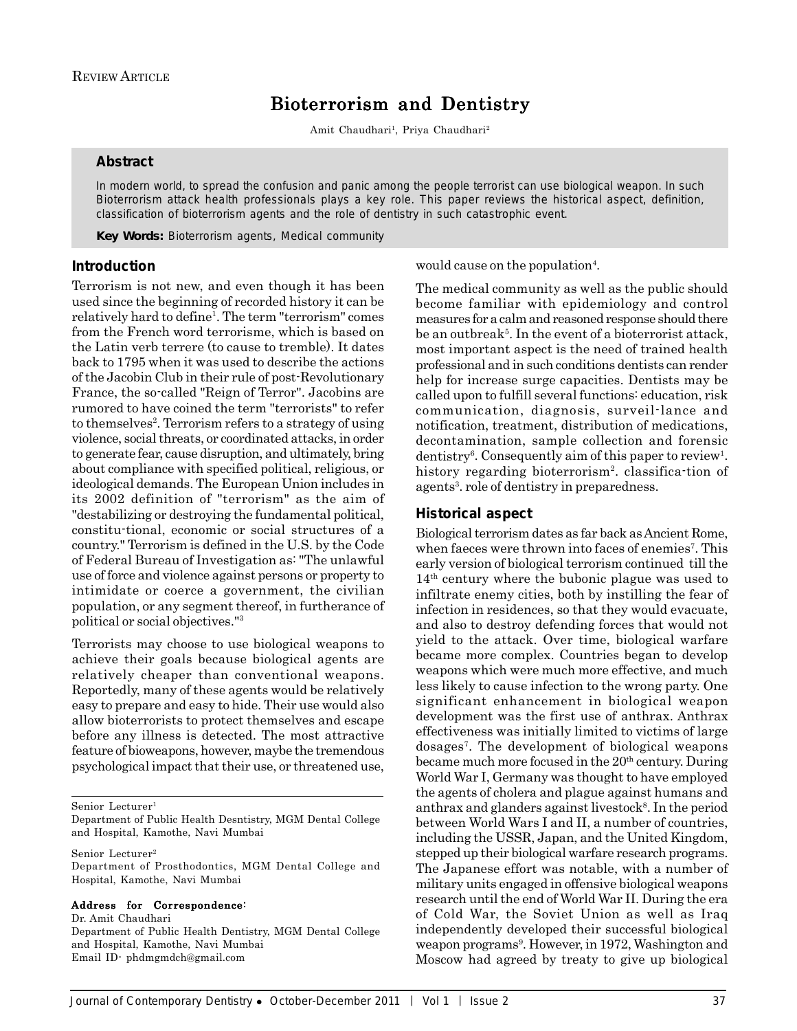# Bioterrorism and Dentistry

Amit Chaudhari<sup>1</sup>, Priya Chaudhari<sup>2</sup>

#### **Abstract**

In modern world, to spread the confusion and panic among the people terrorist can use biological weapon. In such Bioterrorism attack health professionals plays a key role. This paper reviews the historical aspect, definition, classification of bioterrorism agents and the role of dentistry in such catastrophic event.

*Key Words:* Bioterrorism agents, Medical community

#### **Introduction**

Terrorism is not new, and even though it has been used since the beginning of recorded history it can be relatively hard to define1. The term "terrorism" comes from the French word terrorisme, which is based on the Latin verb terrere (to cause to tremble). It dates back to 1795 when it was used to describe the actions of the Jacobin Club in their rule of post-Revolutionary France, the so-called "Reign of Terror". Jacobins are rumored to have coined the term "terrorists" to refer to themselves<sup>2</sup>. Terrorism refers to a strategy of using violence, social threats, or coordinated attacks, in order to generate fear, cause disruption, and ultimately, bring about compliance with specified political, religious, or ideological demands. The European Union includes in its 2002 definition of "terrorism" as the aim of "destabilizing or destroying the fundamental political, constitu-tional, economic or social structures of a country." Terrorism is defined in the U.S. by the Code of Federal Bureau of Investigation as: "The unlawful use of force and violence against persons or property to intimidate or coerce a government, the civilian population, or any segment thereof, in furtherance of political or social objectives."3

Terrorists may choose to use biological weapons to achieve their goals because biological agents are relatively cheaper than conventional weapons. Reportedly, many of these agents would be relatively easy to prepare and easy to hide. Their use would also allow bioterrorists to protect themselves and escape before any illness is detected. The most attractive feature of bioweapons, however, maybe the tremendous psychological impact that their use, or threatened use,

Senior Lecturer<sup>1</sup>

Department of Public Health Desntistry, MGM Dental College and Hospital, Kamothe, Navi Mumbai

Senior Lecturer2

Department of Prosthodontics, MGM Dental College and Hospital, Kamothe, Navi Mumbai

#### Address for Correspondence:

Dr. Amit Chaudhari Department of Public Health Dentistry, MGM Dental College and Hospital, Kamothe, Navi Mumbai Email ID- phdmgmdch@gmail.com

would cause on the population<sup>4</sup>.

The medical community as well as the public should become familiar with epidemiology and control measures for a calm and reasoned response should there be an outbreak<sup>5</sup>. In the event of a bioterrorist attack, most important aspect is the need of trained health professional and in such conditions dentists can render help for increase surge capacities. Dentists may be called upon to fulfill several functions: education, risk communication, diagnosis, surveil-lance and notification, treatment, distribution of medications, decontamination, sample collection and forensic dentistry<sup>6</sup>. Consequently aim of this paper to review<sup>1</sup>. history regarding bioterrorism<sup>2</sup>. classifica-tion of agents<sup>3</sup>. role of dentistry in preparedness.

#### **Historical aspect**

Biological terrorism dates as far back as Ancient Rome, when faeces were thrown into faces of enemies<sup>7</sup>. This early version of biological terrorism continued till the  $14<sup>th</sup>$  century where the bubonic plague was used to infiltrate enemy cities, both by instilling the fear of infection in residences, so that they would evacuate, and also to destroy defending forces that would not yield to the attack. Over time, biological warfare became more complex. Countries began to develop weapons which were much more effective, and much less likely to cause infection to the wrong party. One significant enhancement in biological weapon development was the first use of anthrax. Anthrax effectiveness was initially limited to victims of large dosages7. The development of biological weapons became much more focused in the 20<sup>th</sup> century. During World War I, Germany was thought to have employed the agents of cholera and plague against humans and anthrax and glanders against livestock<sup>8</sup>. In the period between World Wars I and II, a number of countries, including the USSR, Japan, and the United Kingdom, stepped up their biological warfare research programs. The Japanese effort was notable, with a number of military units engaged in offensive biological weapons research until the end of World War II. During the era of Cold War, the Soviet Union as well as Iraq independently developed their successful biological weapon programs<sup>9</sup>. However, in 1972, Washington and Moscow had agreed by treaty to give up biological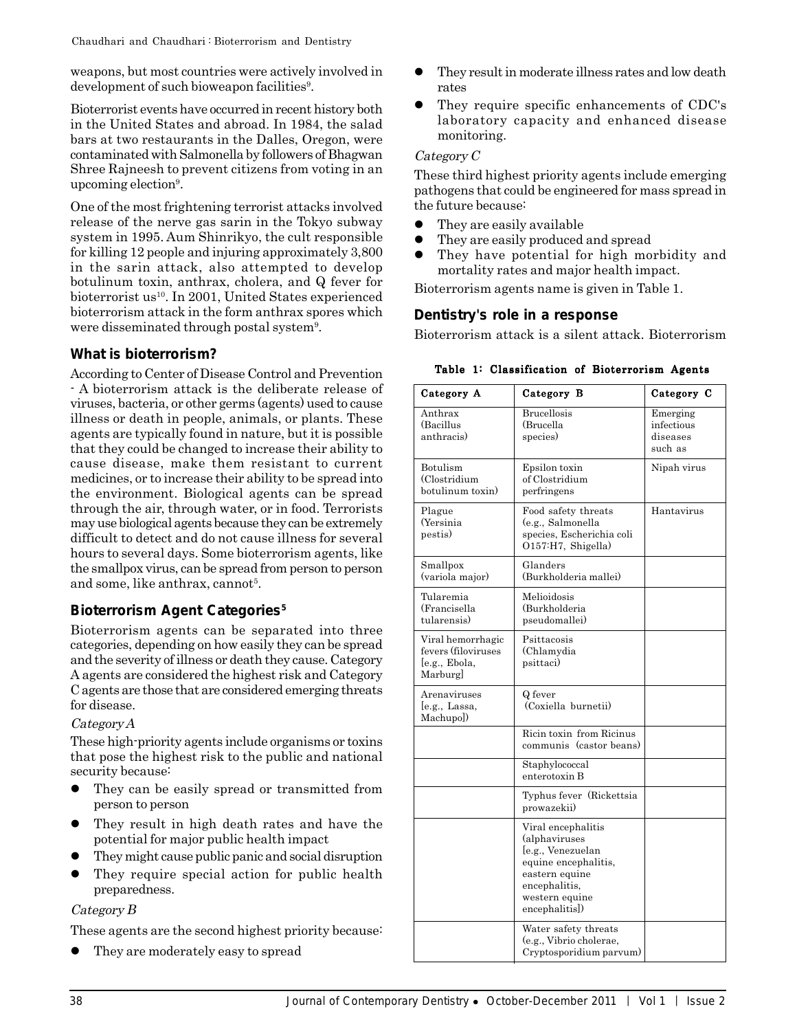weapons, but most countries were actively involved in development of such bioweapon facilities<sup>9</sup>.

Bioterrorist events have occurred in recent history both in the United States and abroad. In 1984, the salad bars at two restaurants in the Dalles, Oregon, were contaminated with Salmonella by followers of Bhagwan Shree Rajneesh to prevent citizens from voting in an upcoming election<sup>9</sup>.

One of the most frightening terrorist attacks involved release of the nerve gas sarin in the Tokyo subway system in 1995. Aum Shinrikyo, the cult responsible for killing 12 people and injuring approximately 3,800 in the sarin attack, also attempted to develop botulinum toxin, anthrax, cholera, and Q fever for bioterrorist us<sup>10</sup>. In 2001, United States experienced bioterrorism attack in the form anthrax spores which were disseminated through postal system<sup>9</sup>.

# **What is bioterrorism?**

According to Center of Disease Control and Prevention - A bioterrorism attack is the deliberate release of viruses, bacteria, or other germs (agents) used to cause illness or death in people, animals, or plants. These agents are typically found in nature, but it is possible that they could be changed to increase their ability to cause disease, make them resistant to current medicines, or to increase their ability to be spread into the environment. Biological agents can be spread through the air, through water, or in food. Terrorists may use biological agents because they can be extremely difficult to detect and do not cause illness for several hours to several days. Some bioterrorism agents, like the smallpox virus, can be spread from person to person and some, like anthrax, cannot<sup>5</sup>.

# **Bioterrorism Agent Categories<sup>5</sup>**

Bioterrorism agents can be separated into three categories, depending on how easily they can be spread and the severity of illness or death they cause. Category A agents are considered the highest risk and Category C agents are those that are considered emerging threats for disease.

## Category A

These high-priority agents include organisms or toxins that pose the highest risk to the public and national security because:

- They can be easily spread or transmitted from person to person
- They result in high death rates and have the potential for major public health impact
- They might cause public panic and social disruption
- They require special action for public health preparedness.

## Category B

These agents are the second highest priority because:

They are moderately easy to spread

- They result in moderate illness rates and low death rates
- They require specific enhancements of CDC's laboratory capacity and enhanced disease monitoring.

#### Category C

These third highest priority agents include emerging pathogens that could be engineered for mass spread in the future because:

- They are easily available
- They are easily produced and spread
- They have potential for high morbidity and mortality rates and major health impact.

Bioterrorism agents name is given in Table 1.

# **Dentistry's role in a response**

Bioterrorism attack is a silent attack. Bioterrorism

Table 1: Classification of Bioterrorism Agents

| Category A                                                           | Category B                                                                                                                                             | Category C                                    |
|----------------------------------------------------------------------|--------------------------------------------------------------------------------------------------------------------------------------------------------|-----------------------------------------------|
| Anthrax<br>(Bacillus<br>anthracis)                                   | <b>Brucellosis</b><br>(Brucella<br>species)                                                                                                            | Emerging<br>infectious<br>diseases<br>such as |
| Botulism<br>(Clostridium<br>botulinum toxin)                         | Epsilon toxin<br>of Clostridium<br>perfringens                                                                                                         | Nipah virus                                   |
| Plague<br>(Yersinia)<br>pestis)                                      | Food safety threats<br>(e.g., Salmonella<br>species, Escherichia coli<br>O157:H7, Shigella)                                                            | Hantavirus                                    |
| Smallpox<br>(variola major)                                          | Glanders<br>(Burkholderia mallei)                                                                                                                      |                                               |
| Tularemia<br>(Francisella<br>tularensis)                             | Melioidosis<br>(Burkholderia<br>pseudomallei)                                                                                                          |                                               |
| Viral hemorrhagic<br>fevers (filoviruses<br>le.g., Ebola,<br>Marburg | Psittacosis<br>(Chlamydia<br>psittaci)                                                                                                                 |                                               |
| Arenaviruses<br>le.g., Lassa,<br>Machupo])                           | Q fever<br>(Coxiella burnetii)                                                                                                                         |                                               |
|                                                                      | Ricin toxin from Ricinus<br>communis (castor beans)                                                                                                    |                                               |
|                                                                      | Staphylococcal<br>enterotoxin B                                                                                                                        |                                               |
|                                                                      | Typhus fever (Rickettsia<br>prowazekii)                                                                                                                |                                               |
|                                                                      | Viral encephalitis<br>(alphaviruses<br>le.g., Venezuelan<br>equine encephalitis,<br>eastern equine<br>encephalitis,<br>western equine<br>encephalitis) |                                               |
|                                                                      | Water safety threats<br>(e.g., Vibrio cholerae,<br>Cryptosporidium parvum)                                                                             |                                               |